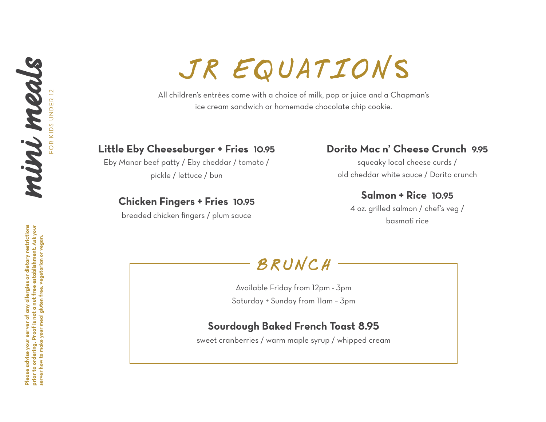# mini meals FOR KIDS UNDER 12 FOR KIDS UNDER 12

JR EQUATIONS

All children's entrées come with a choice of milk, pop or juice and a Chapman's ice cream sandwich or homemade chocolate chip cookie.

#### **Little Eby Cheeseburger + Fries 10.95**

Eby Manor beef patty / Eby cheddar / tomato / pickle / lettuce / bun

### **Chicken Fingers + Fries 10.95**

breaded chicken fingers / plum sauce

## **Dorito Mac n' Cheese Crunch 9.95**

squeaky local cheese curds / old cheddar white sauce / Dorito crunch

### **Salmon + Rice 10.95**

4 oz. grilled salmon / chef's veg / basmati rice



Available Friday from 12pm - 3pm Saturday + Sunday from 11am – 3pm

## **Sourdough Baked French Toast 8.95**

sweet cranberries / warm maple syrup / whipped cream